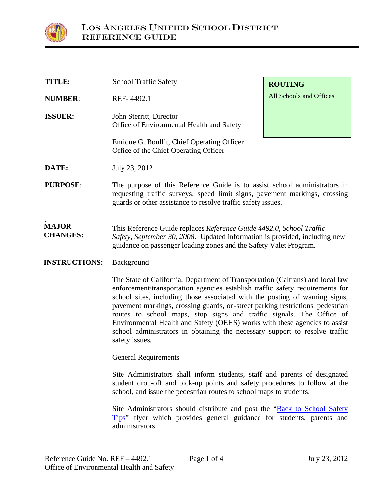

| <b>TITLE:</b>                   | <b>School Traffic Safety</b>                                                                                                                                                                                            | <b>ROUTING</b>          |
|---------------------------------|-------------------------------------------------------------------------------------------------------------------------------------------------------------------------------------------------------------------------|-------------------------|
| <b>NUMBER:</b>                  | REF-4492.1                                                                                                                                                                                                              | All Schools and Offices |
| <b>ISSUER:</b>                  | John Sterritt, Director<br>Office of Environmental Health and Safety                                                                                                                                                    |                         |
|                                 | Enrique G. Boull't, Chief Operating Officer<br>Office of the Chief Operating Officer                                                                                                                                    |                         |
| DATE:                           | July 23, 2012                                                                                                                                                                                                           |                         |
| <b>PURPOSE:</b>                 | The purpose of this Reference Guide is to assist school administrators in<br>requesting traffic surveys, speed limit signs, pavement markings, crossing<br>guards or other assistance to resolve traffic safety issues. |                         |
| <b>MAJOR</b><br><b>CHANGES:</b> | This Reference Guide replaces Reference Guide 4492.0, School Traffic<br>Safety, September 30, 2008. Updated information is provided, including new<br>guidance on passenger loading zones and the Safety Valet Program. |                         |
| <b>INSTRUCTIONS:</b>            | Background                                                                                                                                                                                                              |                         |

The State of California, Department of Transportation (Caltrans) and local law enforcement/transportation agencies establish traffic safety requirements for school sites, including those associated with the posting of warning signs, pavement markings, crossing guards, on-street parking restrictions, pedestrian routes to school maps, stop signs and traffic signals. The Office of Environmental Health and Safety (OEHS) works with these agencies to assist school administrators in obtaining the necessary support to resolve traffic safety issues.

#### General Requirements

Site Administrators shall inform students, staff and parents of designated student drop-off and pick-up points and safety procedures to follow at the school, and issue the pedestrian routes to school maps to students.

Site Administrators should distribute and post the "[Back to School Safety](http://www.lausd-oehs.org/docs/TafficandPedestrianSafety/pedestriansafetytips2_2011-2.pdf)  [Tips](http://www.lausd-oehs.org/docs/TafficandPedestrianSafety/pedestriansafetytips2_2011-2.pdf)" flyer which provides general guidance for students, parents and administrators.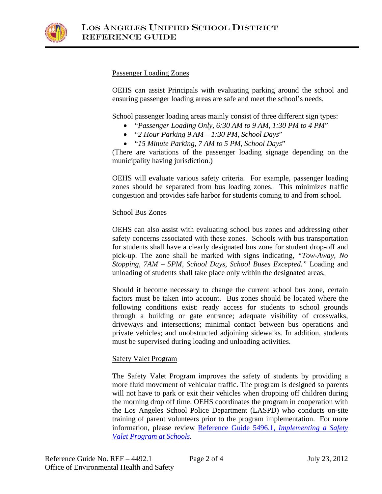

## Passenger Loading Zones

OEHS can assist Principals with evaluating parking around the school and ensuring passenger loading areas are safe and meet the school's needs.

School passenger loading areas mainly consist of three different sign types:

- "*Passenger Loading Only, 6:30 AM to 9 AM, 1:30 PM to 4 PM*"
- "*2 Hour Parking 9 AM 1:30 PM, School Days*"
- "*15 Minute Parking, 7 AM to 5 PM, School Days*"

(There are variations of the passenger loading signage depending on the municipality having jurisdiction.)

OEHS will evaluate various safety criteria. For example, passenger loading zones should be separated from bus loading zones. This minimizes traffic congestion and provides safe harbor for students coming to and from school.

### School Bus Zones

OEHS can also assist with evaluating school bus zones and addressing other safety concerns associated with these zones. Schools with bus transportation for students shall have a clearly designated bus zone for student drop-off and pick-up. The zone shall be marked with signs indicating, *"Tow-Away, No Stopping, 7AM – 5PM, School Days, School Buses Excepted."* Loading and unloading of students shall take place only within the designated areas.

Should it become necessary to change the current school bus zone, certain factors must be taken into account. Bus zones should be located where the following conditions exist: ready access for students to school grounds through a building or gate entrance; adequate visibility of crosswalks, driveways and intersections; minimal contact between bus operations and private vehicles; and unobstructed adjoining sidewalks. In addition, students must be supervised during loading and unloading activities.

# Safety Valet Program

The Safety Valet Program improves the safety of students by providing a more fluid movement of vehicular traffic. The program is designed so parents will not have to park or exit their vehicles when dropping off children during the morning drop off time. OEHS coordinates the program in cooperation with the Los Angeles School Police Department (LASPD) who conducts on-site training of parent volunteers prior to the program implementation. For more information, please review [Reference Guide 5496.1,](http://lausd-oehs.org/docs/ReferenceGuides/REF-5496.1.PDF) *Implementing a Safety [Valet Program at Schools](http://lausd-oehs.org/docs/ReferenceGuides/REF-5496.1.PDF)*.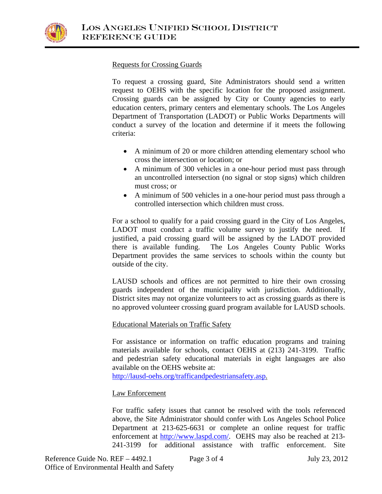

## Requests for Crossing Guards

To request a crossing guard, Site Administrators should send a written request to OEHS with the specific location for the proposed assignment. Crossing guards can be assigned by City or County agencies to early education centers, primary centers and elementary schools. The Los Angeles Department of Transportation (LADOT) or Public Works Departments will conduct a survey of the location and determine if it meets the following criteria:

- A minimum of 20 or more children attending elementary school who cross the intersection or location; or
- A minimum of 300 vehicles in a one-hour period must pass through an uncontrolled intersection (no signal or stop signs) which children must cross; or
- A minimum of 500 vehicles in a one-hour period must pass through a controlled intersection which children must cross.

For a school to qualify for a paid crossing guard in the City of Los Angeles, LADOT must conduct a traffic volume survey to justify the need. If justified, a paid crossing guard will be assigned by the LADOT provided there is available funding. The Los Angeles County Public Works Department provides the same services to schools within the county but outside of the city.

LAUSD schools and offices are not permitted to hire their own crossing guards independent of the municipality with jurisdiction. Additionally, District sites may not organize volunteers to act as crossing guards as there is no approved volunteer crossing guard program available for LAUSD schools.

#### Educational Materials on Traffic Safety

For assistance or information on traffic education programs and training materials available for schools, contact OEHS at (213) 241-3199. Traffic and pedestrian safety educational materials in eight languages are also available on the OEHS website at:

[http://lausd-oehs.org/trafficandpedestriansafety.asp.](http://lausd-oehs.org/trafficandpedestriansafety.asp)

# Law Enforcement

For traffic safety issues that cannot be resolved with the tools referenced above, the Site Administrator should confer with Los Angeles School Police Department at 213-625-6631 or complete an online request for traffic enforcement at [http://www.laspd.com/.](http://www.laspd.com/) OEHS may also be reached at 213- 241-3199 for additional assistance with traffic enforcement. Site